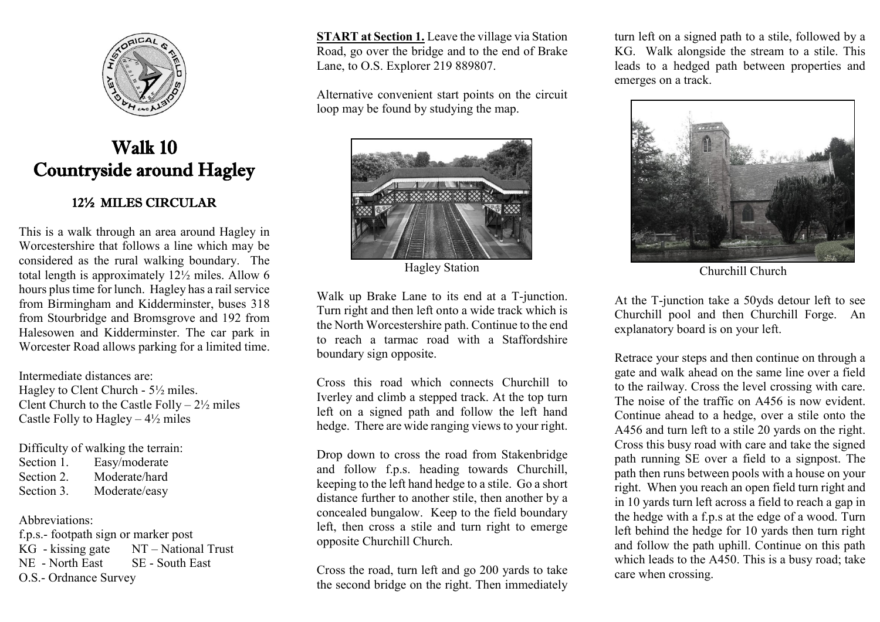

## Walk 10 Countryside around Hagley

## 12½ MILES CIRCULAR

This is a walk through an area around Hagley in Worcestershire that follows a line which may be considered as the rural walking boundary. The total length is approximately 12½ miles. Allow 6 hours plus time for lunch. Hagley has a rail service from Birmingham and Kidderminster, buses 318 from Stourbridge and Bromsgrove and 192 from Halesowen and Kidderminster. The car park in Worcester Road allows parking for a limited time.

Intermediate distances are: Hagley to Clent Church - 5½ miles. Clent Church to the Castle Folly –  $2\frac{1}{2}$  miles Castle Folly to Hagley  $-4\frac{1}{2}$  miles

Difficulty of walking the terrain:

Section 1. Easy/moderate Section 2 Moderate/hard Section 3. Moderate/easy

## Abbreviations:

f.p.s.- footpath sign or marker post KG - kissing gate NT – National Trust NE - North East SE - South East O.S.- Ordnance Survey

**START at Section 1.** Leave the village via Station Road, go over the bridge and to the end of Brake Lane, to O.S. Explorer 219 889807.

Alternative convenient start points on the circuit loop may be found by studying the map.



Hagley Station Churchill Churchill Churchill Churchill Churchill Churchill Churchill Churchill Churchill Churchill Churchill Churchill Churchill Churchill Churchill Churchill Churchill Churchill Churchill Churchill Churchi

Walk up Brake Lane to its end at a T-junction. Turn right and then left onto a wide track which is the North Worcestershire path. Continue to the end to reach a tarmac road with a Staffordshire boundary sign opposite.

Cross this road which connects Churchill to Iverley and climb a stepped track. At the top turn left on a signed path and follow the left hand hedge. There are wide ranging views to your right.

Drop down to cross the road from Stakenbridge and follow f.p.s. heading towards Churchill, keeping to the left hand hedge to a stile. Go a short distance further to another stile, then another by a concealed bungalow. Keep to the field boundary left, then cross a stile and turn right to emerge opposite Churchill Church.

Cross the road, turn left and go 200 yards to take the second bridge on the right. Then immediately turn left on a signed path to a stile, followed by a KG. Walk alongside the stream to a stile. This leads to a hedged path between properties and emerges on a track.



At the T-junction take a 50yds detour left to see Churchill pool and then Churchill Forge. An explanatory board is on your left.

Retrace your steps and then continue on through a gate and walk ahead on the same line over a field to the railway. Cross the level crossing with care. The noise of the traffic on A456 is now evident. Continue ahead to a hedge, over a stile onto the A456 and turn left to a stile 20 yards on the right. Cross this busy road with care and take the signed path running SE over a field to a signpost. The path then runs between pools with a house on your right. When you reach an open field turn right and in 10 yards turn left across a field to reach a gap in the hedge with a f.p.s at the edge of a wood. Turn left behind the hedge for 10 yards then turn right and follow the path uphill. Continue on this path which leads to the A450. This is a busy road; take care when crossing.